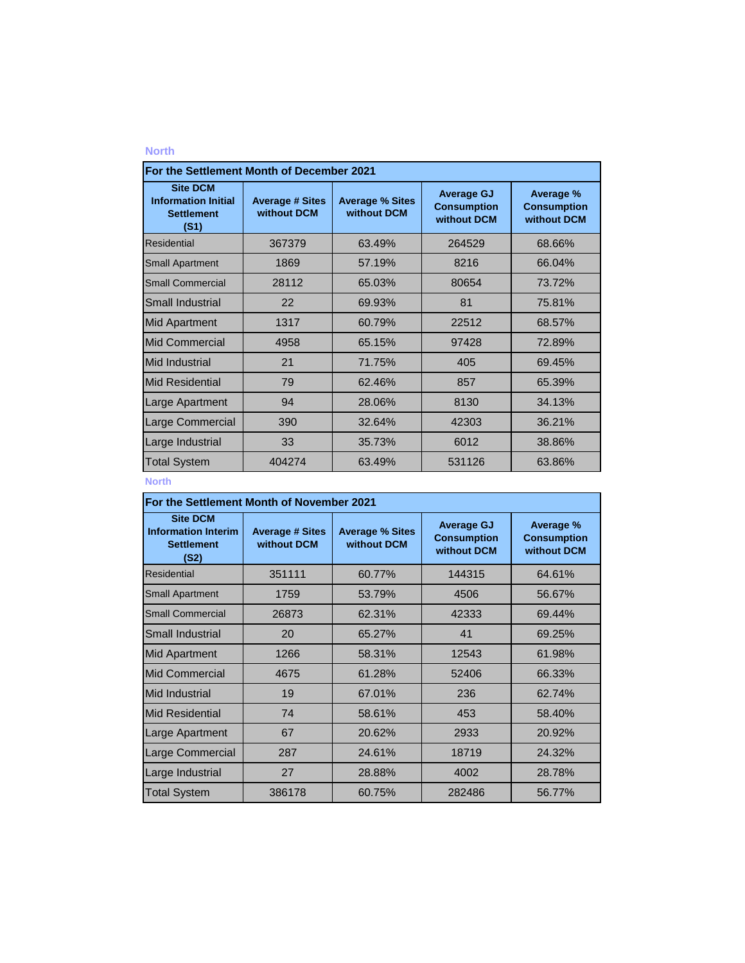| For the Settlement Month of December 2021                                  |                                       |                                       |                                                        |                                                |  |
|----------------------------------------------------------------------------|---------------------------------------|---------------------------------------|--------------------------------------------------------|------------------------------------------------|--|
| <b>Site DCM</b><br><b>Information Initial</b><br><b>Settlement</b><br>(S1) | <b>Average # Sites</b><br>without DCM | <b>Average % Sites</b><br>without DCM | <b>Average GJ</b><br><b>Consumption</b><br>without DCM | Average %<br><b>Consumption</b><br>without DCM |  |
| Residential                                                                | 367379                                | 63.49%                                | 264529                                                 | 68.66%                                         |  |
| <b>Small Apartment</b>                                                     | 1869                                  | 57.19%                                | 8216                                                   | 66.04%                                         |  |
| <b>Small Commercial</b>                                                    | 28112                                 | 65.03%                                | 80654                                                  | 73.72%                                         |  |
| Small Industrial                                                           | 22                                    | 69.93%                                | 81                                                     | 75.81%                                         |  |
| <b>Mid Apartment</b>                                                       | 1317                                  | 60.79%                                | 22512                                                  | 68.57%                                         |  |
| Mid Commercial                                                             | 4958                                  | 65.15%                                | 97428                                                  | 72.89%                                         |  |
| Mid Industrial                                                             | 21                                    | 71.75%                                | 405                                                    | 69.45%                                         |  |
| <b>Mid Residential</b>                                                     | 79                                    | 62.46%                                | 857                                                    | 65.39%                                         |  |
| <b>Large Apartment</b>                                                     | 94                                    | 28.06%                                | 8130                                                   | 34.13%                                         |  |
| Large Commercial                                                           | 390                                   | 32.64%                                | 42303                                                  | 36.21%                                         |  |
| Large Industrial                                                           | 33                                    | 35.73%                                | 6012                                                   | 38.86%                                         |  |
| <b>Total System</b>                                                        | 404274                                | 63.49%                                | 531126                                                 | 63.86%                                         |  |

## **North**

| For the Settlement Month of November 2021                                  |                                       |                                       |                                                        |                                                |  |
|----------------------------------------------------------------------------|---------------------------------------|---------------------------------------|--------------------------------------------------------|------------------------------------------------|--|
| <b>Site DCM</b><br><b>Information Interim</b><br><b>Settlement</b><br>(S2) | <b>Average # Sites</b><br>without DCM | <b>Average % Sites</b><br>without DCM | <b>Average GJ</b><br><b>Consumption</b><br>without DCM | Average %<br><b>Consumption</b><br>without DCM |  |
| <b>Residential</b>                                                         | 351111                                | 60.77%                                | 144315                                                 | 64.61%                                         |  |
| <b>Small Apartment</b>                                                     | 1759                                  | 53.79%                                | 4506                                                   | 56.67%                                         |  |
| <b>Small Commercial</b>                                                    | 26873                                 | 62.31%                                | 42333                                                  | 69.44%                                         |  |
| Small Industrial                                                           | 20                                    | 65.27%                                | 41                                                     | 69.25%                                         |  |
| <b>Mid Apartment</b>                                                       | 1266                                  | 58.31%                                | 12543                                                  | 61.98%                                         |  |
| <b>Mid Commercial</b>                                                      | 4675                                  | 61.28%                                | 52406                                                  | 66.33%                                         |  |
| <b>Mid Industrial</b>                                                      | 19                                    | 67.01%                                | 236                                                    | 62.74%                                         |  |
| <b>Mid Residential</b>                                                     | 74                                    | 58.61%                                | 453                                                    | 58.40%                                         |  |
| Large Apartment                                                            | 67                                    | 20.62%                                | 2933                                                   | 20.92%                                         |  |
| Large Commercial                                                           | 287                                   | 24.61%                                | 18719                                                  | 24.32%                                         |  |
| Large Industrial                                                           | 27                                    | 28.88%                                | 4002                                                   | 28.78%                                         |  |
| <b>Total System</b>                                                        | 386178                                | 60.75%                                | 282486                                                 | 56.77%                                         |  |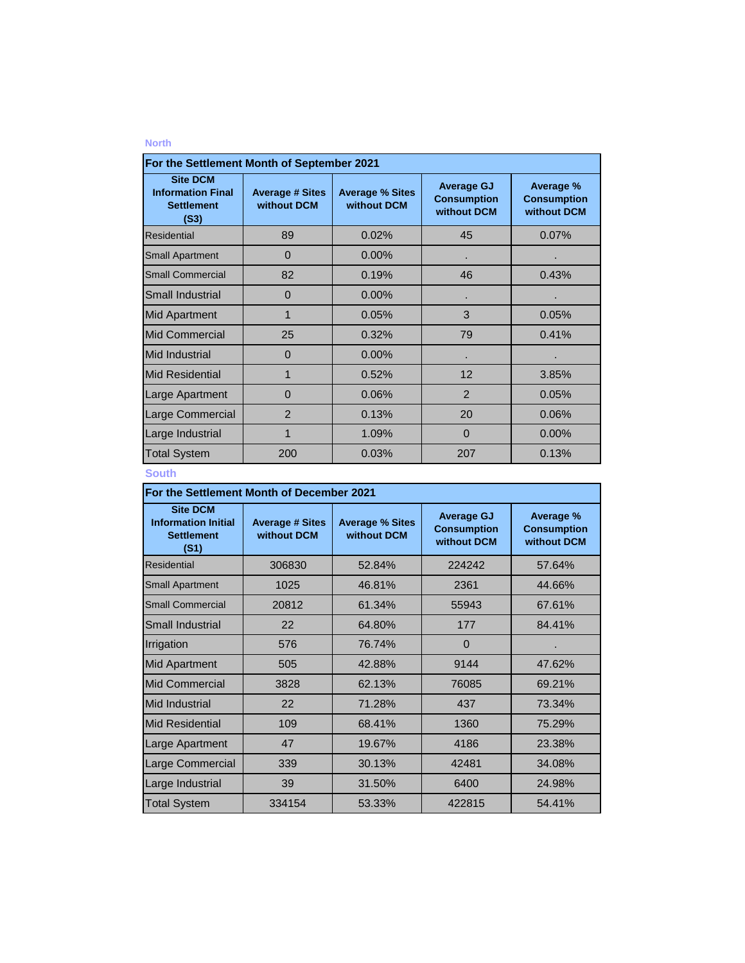| For the Settlement Month of September 2021                               |                                       |                                       |                                                        |                                                |  |
|--------------------------------------------------------------------------|---------------------------------------|---------------------------------------|--------------------------------------------------------|------------------------------------------------|--|
| <b>Site DCM</b><br><b>Information Final</b><br><b>Settlement</b><br>(S3) | <b>Average # Sites</b><br>without DCM | <b>Average % Sites</b><br>without DCM | <b>Average GJ</b><br><b>Consumption</b><br>without DCM | Average %<br><b>Consumption</b><br>without DCM |  |
| <b>Residential</b>                                                       | 89                                    | 0.02%                                 | 45                                                     | 0.07%                                          |  |
| <b>Small Apartment</b>                                                   | $\Omega$                              | $0.00\%$                              |                                                        |                                                |  |
| <b>Small Commercial</b>                                                  | 82                                    | 0.19%                                 | 46                                                     | 0.43%                                          |  |
| Small Industrial                                                         | $\Omega$                              | 0.00%                                 |                                                        |                                                |  |
| <b>Mid Apartment</b>                                                     | 1                                     | 0.05%                                 | 3                                                      | 0.05%                                          |  |
| <b>Mid Commercial</b>                                                    | 25                                    | 0.32%                                 | 79                                                     | 0.41%                                          |  |
| Mid Industrial                                                           | $\Omega$                              | 0.00%                                 |                                                        |                                                |  |
| <b>Mid Residential</b>                                                   | 1                                     | 0.52%                                 | 12                                                     | 3.85%                                          |  |
| Large Apartment                                                          | 0                                     | 0.06%                                 | $\overline{2}$                                         | 0.05%                                          |  |
| Large Commercial                                                         | $\overline{2}$                        | 0.13%                                 | 20                                                     | 0.06%                                          |  |
| Large Industrial                                                         | 1                                     | 1.09%                                 | $\Omega$                                               | 0.00%                                          |  |
| <b>Total System</b>                                                      | 200                                   | 0.03%                                 | 207                                                    | 0.13%                                          |  |

## **South**

| For the Settlement Month of December 2021                                  |                                       |                                       |                                                        |                                                |  |
|----------------------------------------------------------------------------|---------------------------------------|---------------------------------------|--------------------------------------------------------|------------------------------------------------|--|
| <b>Site DCM</b><br><b>Information Initial</b><br><b>Settlement</b><br>(S1) | <b>Average # Sites</b><br>without DCM | <b>Average % Sites</b><br>without DCM | <b>Average GJ</b><br><b>Consumption</b><br>without DCM | Average %<br><b>Consumption</b><br>without DCM |  |
| Residential                                                                | 306830                                | 52.84%                                | 224242                                                 | 57.64%                                         |  |
| <b>Small Apartment</b>                                                     | 1025                                  | 46.81%                                | 2361                                                   | 44.66%                                         |  |
| <b>Small Commercial</b>                                                    | 20812                                 | 61.34%                                | 55943                                                  | 67.61%                                         |  |
| Small Industrial                                                           | 22                                    | 64.80%                                | 177                                                    | 84.41%                                         |  |
| Irrigation                                                                 | 576                                   | 76.74%                                | $\Omega$                                               |                                                |  |
| <b>Mid Apartment</b>                                                       | 505                                   | 42.88%                                | 9144                                                   | 47.62%                                         |  |
| <b>Mid Commercial</b>                                                      | 3828                                  | 62.13%                                | 76085                                                  | 69.21%                                         |  |
| Mid Industrial                                                             | 22                                    | 71.28%                                | 437                                                    | 73.34%                                         |  |
| <b>Mid Residential</b>                                                     | 109                                   | 68.41%                                | 1360                                                   | 75.29%                                         |  |
| Large Apartment                                                            | 47                                    | 19.67%                                | 4186                                                   | 23.38%                                         |  |
| Large Commercial                                                           | 339                                   | 30.13%                                | 42481                                                  | 34.08%                                         |  |
| Large Industrial                                                           | 39                                    | 31.50%                                | 6400                                                   | 24.98%                                         |  |
| <b>Total System</b>                                                        | 334154                                | 53.33%                                | 422815                                                 | 54.41%                                         |  |